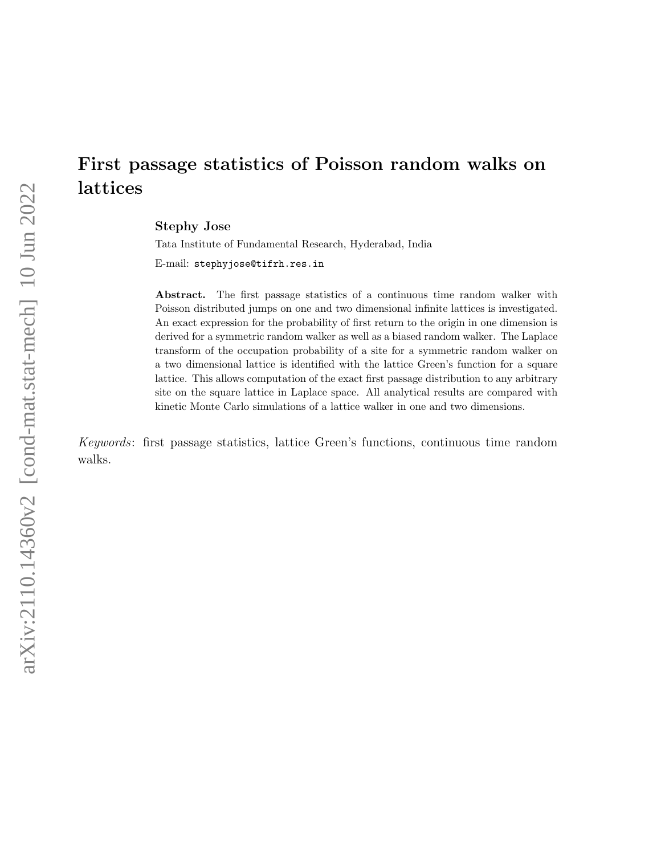# First passage statistics of Poisson random walks on lattices

Stephy Jose

Tata Institute of Fundamental Research, Hyderabad, India

E-mail: stephyjose@tifrh.res.in

Abstract. The first passage statistics of a continuous time random walker with Poisson distributed jumps on one and two dimensional infinite lattices is investigated. An exact expression for the probability of first return to the origin in one dimension is derived for a symmetric random walker as well as a biased random walker. The Laplace transform of the occupation probability of a site for a symmetric random walker on a two dimensional lattice is identified with the lattice Green's function for a square lattice. This allows computation of the exact first passage distribution to any arbitrary site on the square lattice in Laplace space. All analytical results are compared with kinetic Monte Carlo simulations of a lattice walker in one and two dimensions.

Keywords: first passage statistics, lattice Green's functions, continuous time random walks.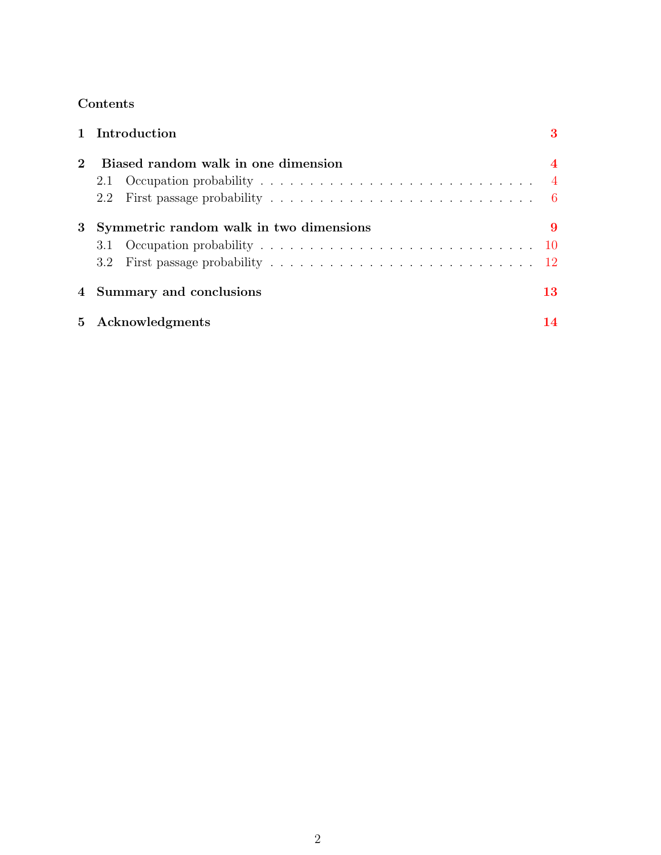# Contents

|                             |                                         | 1 Introduction | 3              |
|-----------------------------|-----------------------------------------|----------------|----------------|
| $\mathcal{D}_{\mathcal{L}}$ | Biased random walk in one dimension     |                | $\overline{4}$ |
|                             | 2.1                                     |                | $\overline{4}$ |
|                             |                                         |                |                |
| 3                           | Symmetric random walk in two dimensions |                | 9              |
|                             |                                         |                |                |
|                             |                                         |                |                |
|                             | 4 Summary and conclusions               |                | 13             |
|                             | 5 Acknowledgments                       |                | 14             |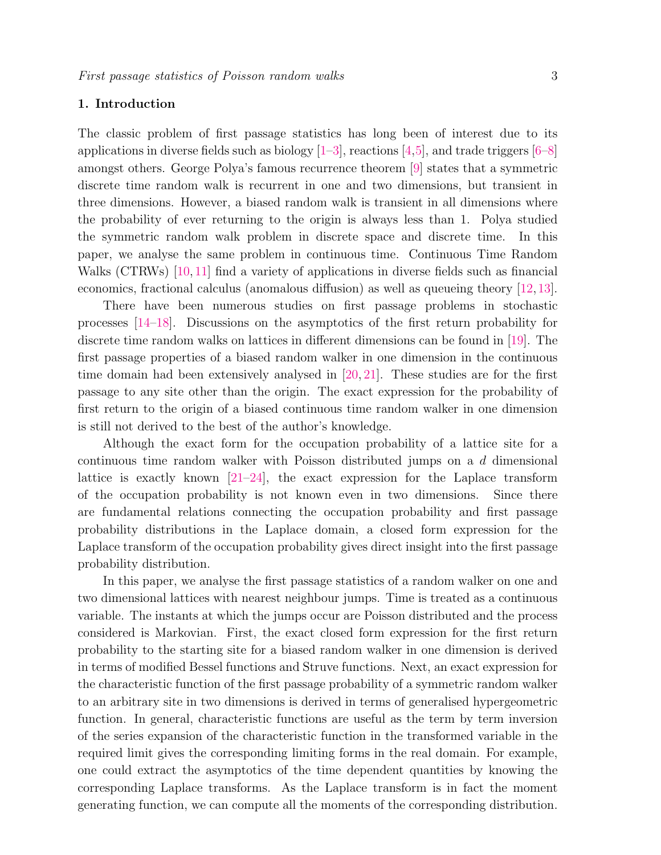# <span id="page-2-0"></span>1. Introduction

The classic problem of first passage statistics has long been of interest due to its applications in diverse fields such as biology  $[1-3]$  $[1-3]$ , reactions  $[4,5]$  $[4,5]$ , and trade triggers  $[6-8]$  $[6-8]$ amongst others. George Polya's famous recurrence theorem [\[9\]](#page-13-7) states that a symmetric discrete time random walk is recurrent in one and two dimensions, but transient in three dimensions. However, a biased random walk is transient in all dimensions where the probability of ever returning to the origin is always less than 1. Polya studied the symmetric random walk problem in discrete space and discrete time. In this paper, we analyse the same problem in continuous time. Continuous Time Random Walks (CTRWs) [\[10,](#page-13-8) [11\]](#page-13-9) find a variety of applications in diverse fields such as financial economics, fractional calculus (anomalous diffusion) as well as queueing theory [\[12,](#page-13-10)[13\]](#page-13-11).

There have been numerous studies on first passage problems in stochastic processes [\[14–](#page-13-12)[18\]](#page-13-13). Discussions on the asymptotics of the first return probability for discrete time random walks on lattices in different dimensions can be found in [\[19\]](#page-13-14). The first passage properties of a biased random walker in one dimension in the continuous time domain had been extensively analysed in [\[20,](#page-13-15) [21\]](#page-13-16). These studies are for the first passage to any site other than the origin. The exact expression for the probability of first return to the origin of a biased continuous time random walker in one dimension is still not derived to the best of the author's knowledge.

Although the exact form for the occupation probability of a lattice site for a continuous time random walker with Poisson distributed jumps on a d dimensional lattice is exactly known  $[21-24]$  $[21-24]$ , the exact expression for the Laplace transform of the occupation probability is not known even in two dimensions. Since there are fundamental relations connecting the occupation probability and first passage probability distributions in the Laplace domain, a closed form expression for the Laplace transform of the occupation probability gives direct insight into the first passage probability distribution.

In this paper, we analyse the first passage statistics of a random walker on one and two dimensional lattices with nearest neighbour jumps. Time is treated as a continuous variable. The instants at which the jumps occur are Poisson distributed and the process considered is Markovian. First, the exact closed form expression for the first return probability to the starting site for a biased random walker in one dimension is derived in terms of modified Bessel functions and Struve functions. Next, an exact expression for the characteristic function of the first passage probability of a symmetric random walker to an arbitrary site in two dimensions is derived in terms of generalised hypergeometric function. In general, characteristic functions are useful as the term by term inversion of the series expansion of the characteristic function in the transformed variable in the required limit gives the corresponding limiting forms in the real domain. For example, one could extract the asymptotics of the time dependent quantities by knowing the corresponding Laplace transforms. As the Laplace transform is in fact the moment generating function, we can compute all the moments of the corresponding distribution.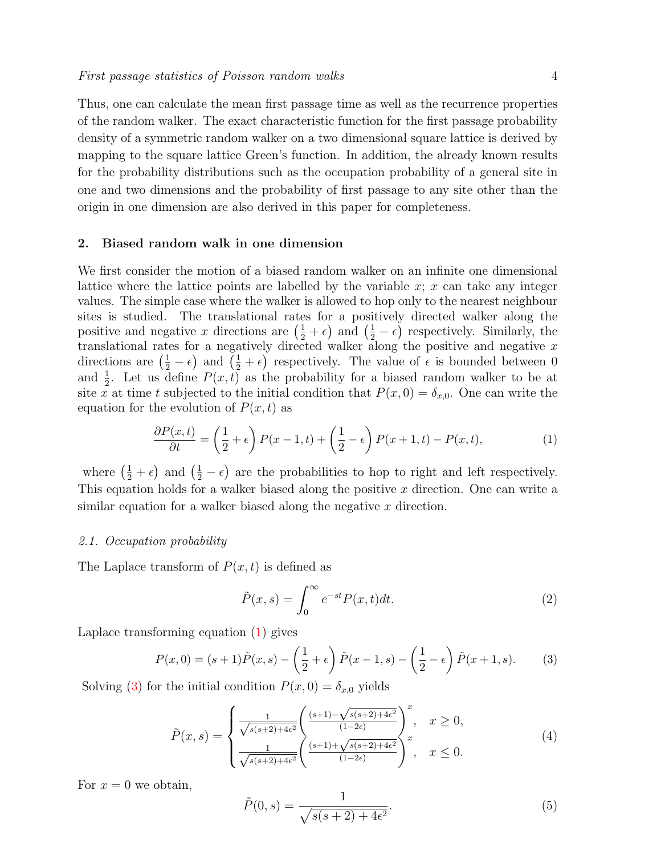Thus, one can calculate the mean first passage time as well as the recurrence properties of the random walker. The exact characteristic function for the first passage probability density of a symmetric random walker on a two dimensional square lattice is derived by mapping to the square lattice Green's function. In addition, the already known results for the probability distributions such as the occupation probability of a general site in one and two dimensions and the probability of first passage to any site other than the origin in one dimension are also derived in this paper for completeness.

# <span id="page-3-0"></span>2. Biased random walk in one dimension

We first consider the motion of a biased random walker on an infinite one dimensional lattice where the lattice points are labelled by the variable  $x; x$  can take any integer values. The simple case where the walker is allowed to hop only to the nearest neighbour sites is studied. The translational rates for a positively directed walker along the positive and negative x directions are  $(\frac{1}{2} + \epsilon)$  and  $(\frac{1}{2} - \epsilon)$  respectively. Similarly, the translational rates for a negatively directed walker along the positive and negative  $x$ directions are  $(\frac{1}{2} - \epsilon)$  and  $(\frac{1}{2} + \epsilon)$  respectively. The value of  $\epsilon$  is bounded between 0 and  $\frac{1}{2}$ . Let us define  $P(x,t)$  as the probability for a biased random walker to be at site x at time t subjected to the initial condition that  $P(x, 0) = \delta_{x,0}$ . One can write the equation for the evolution of  $P(x, t)$  as

<span id="page-3-2"></span>
$$
\frac{\partial P(x,t)}{\partial t} = \left(\frac{1}{2} + \epsilon\right) P(x-1,t) + \left(\frac{1}{2} - \epsilon\right) P(x+1,t) - P(x,t),\tag{1}
$$

where  $(\frac{1}{2} + \epsilon)$  and  $(\frac{1}{2} - \epsilon)$  are the probabilities to hop to right and left respectively. This equation holds for a walker biased along the positive  $x$  direction. One can write a similar equation for a walker biased along the negative  $x$  direction.

#### <span id="page-3-1"></span>2.1. Occupation probability

The Laplace transform of  $P(x, t)$  is defined as

$$
\tilde{P}(x,s) = \int_0^\infty e^{-st} P(x,t)dt.
$$
\n(2)

Laplace transforming equation [\(1\)](#page-3-2) gives

<span id="page-3-3"></span>
$$
P(x,0) = (s+1)\tilde{P}(x,s) - \left(\frac{1}{2} + \epsilon\right)\tilde{P}(x-1,s) - \left(\frac{1}{2} - \epsilon\right)\tilde{P}(x+1,s).
$$
 (3)

Solving [\(3\)](#page-3-3) for the initial condition  $P(x, 0) = \delta_{x,0}$  yields

<span id="page-3-4"></span>
$$
\tilde{P}(x,s) = \begin{cases}\n\frac{1}{\sqrt{s(s+2)+4\epsilon^2}} \left( \frac{(s+1) - \sqrt{s(s+2)+4\epsilon^2}}{(1-2\epsilon)} \right)^x, & x \ge 0, \\
\frac{1}{\sqrt{s(s+2)+4\epsilon^2}} \left( \frac{(s+1) + \sqrt{s(s+2)+4\epsilon^2}}{(1-2\epsilon)} \right)^x, & x \le 0.\n\end{cases} (4)
$$

For  $x = 0$  we obtain,

<span id="page-3-5"></span>
$$
\tilde{P}(0,s) = \frac{1}{\sqrt{s(s+2) + 4\epsilon^2}}.\tag{5}
$$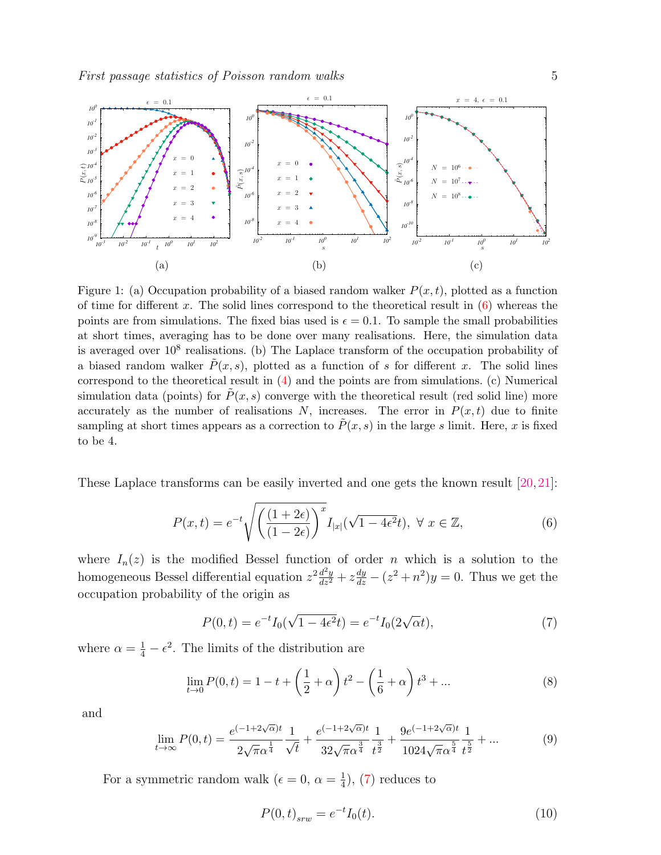<span id="page-4-2"></span>

Figure 1: (a) Occupation probability of a biased random walker  $P(x, t)$ , plotted as a function of time for different x. The solid lines correspond to the theoretical result in  $(6)$  whereas the points are from simulations. The fixed bias used is  $\epsilon = 0.1$ . To sample the small probabilities at short times, averaging has to be done over many realisations. Here, the simulation data is averaged over  $10^8$  realisations. (b) The Laplace transform of the occupation probability of a biased random walker  $\tilde{P}(x, s)$ , plotted as a function of s for different x. The solid lines correspond to the theoretical result in [\(4\)](#page-3-4) and the points are from simulations. (c) Numerical simulation data (points) for  $\tilde{P}(x, s)$  converge with the theoretical result (red solid line) more accurately as the number of realisations N, increases. The error in  $P(x, t)$  due to finite sampling at short times appears as a correction to  $P(x, s)$  in the large s limit. Here, x is fixed to be 4.

These Laplace transforms can be easily inverted and one gets the known result [\[20,](#page-13-15)[21\]](#page-13-16):

<span id="page-4-0"></span>
$$
P(x,t) = e^{-t} \sqrt{\left(\frac{(1+2\epsilon)}{(1-2\epsilon)}\right)^x} I_{|x|}(\sqrt{1-4\epsilon^2}t), \ \forall \ x \in \mathbb{Z},\tag{6}
$$

where  $I_n(z)$  is the modified Bessel function of order n which is a solution to the homogeneous Bessel differential equation  $z^2 \frac{d^2y}{dz^2} + z \frac{dy}{dz} - (z^2 + n^2)y = 0$ . Thus we get the occupation probability of the origin as

<span id="page-4-1"></span>
$$
P(0,t) = e^{-t}I_0(\sqrt{1 - 4\epsilon^2}t) = e^{-t}I_0(2\sqrt{\alpha}t),
$$
\n(7)

where  $\alpha = \frac{1}{4} - \epsilon^2$ . The limits of the distribution are

$$
\lim_{t \to 0} P(0, t) = 1 - t + \left(\frac{1}{2} + \alpha\right)t^2 - \left(\frac{1}{6} + \alpha\right)t^3 + \dots
$$
\n(8)

and

$$
\lim_{t \to \infty} P(0, t) = \frac{e^{(-1 + 2\sqrt{\alpha})t}}{2\sqrt{\pi} \alpha^{\frac{1}{4}}} \frac{1}{\sqrt{t}} + \frac{e^{(-1 + 2\sqrt{\alpha})t}}{32\sqrt{\pi} \alpha^{\frac{3}{4}}} \frac{1}{t^{\frac{3}{2}}} + \frac{9e^{(-1 + 2\sqrt{\alpha})t}}{1024\sqrt{\pi} \alpha^{\frac{5}{4}}} \frac{1}{t^{\frac{5}{2}}} + \dots \tag{9}
$$

For a symmetric random walk ( $\epsilon = 0, \alpha = \frac{1}{4}$  $\frac{1}{4}$ , [\(7\)](#page-4-1) reduces to

$$
P(0,t)_{srw} = e^{-t}I_0(t).
$$
\n(10)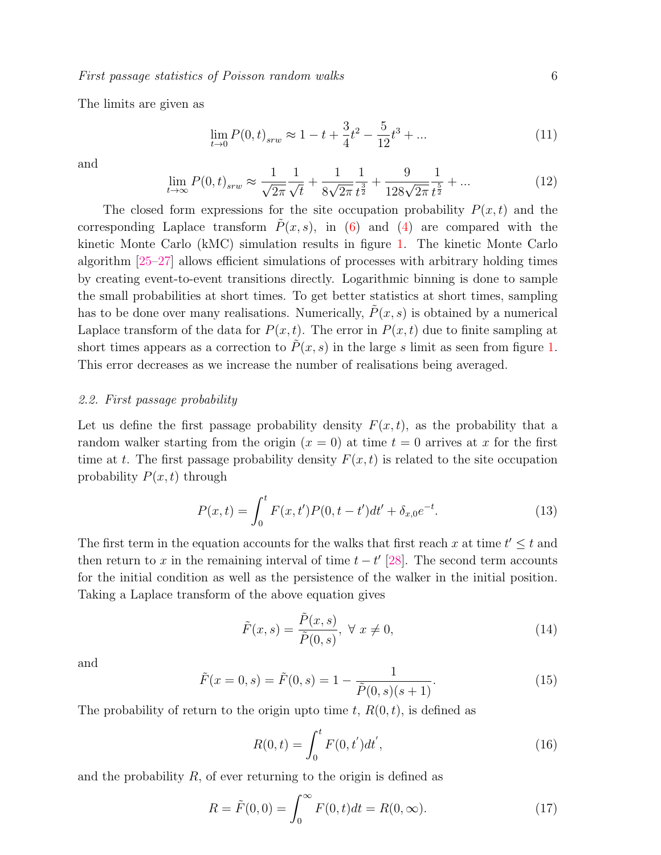The limits are given as

$$
\lim_{t \to 0} P(0, t)_{sw} \approx 1 - t + \frac{3}{4}t^2 - \frac{5}{12}t^3 + \dots \tag{11}
$$

and

$$
\lim_{t \to \infty} P(0, t)_{srw} \approx \frac{1}{\sqrt{2\pi}} \frac{1}{\sqrt{t}} + \frac{1}{8\sqrt{2\pi}} \frac{1}{t^{\frac{3}{2}}} + \frac{9}{128\sqrt{2\pi}} \frac{1}{t^{\frac{5}{2}}} + \dots
$$
\n(12)

The closed form expressions for the site occupation probability  $P(x, t)$  and the corresponding Laplace transform  $\tilde{P}(x, s)$ , in [\(6\)](#page-4-0) and [\(4\)](#page-3-4) are compared with the kinetic Monte Carlo (kMC) simulation results in figure [1.](#page-4-2) The kinetic Monte Carlo algorithm [\[25–](#page-13-18)[27\]](#page-14-0) allows efficient simulations of processes with arbitrary holding times by creating event-to-event transitions directly. Logarithmic binning is done to sample the small probabilities at short times. To get better statistics at short times, sampling has to be done over many realisations. Numerically,  $P(x, s)$  is obtained by a numerical Laplace transform of the data for  $P(x, t)$ . The error in  $P(x, t)$  due to finite sampling at short times appears as a correction to  $\tilde{P}(x, s)$  in the large s limit as seen from figure [1.](#page-4-2) This error decreases as we increase the number of realisations being averaged.

## <span id="page-5-0"></span>2.2. First passage probability

Let us define the first passage probability density  $F(x, t)$ , as the probability that a random walker starting from the origin  $(x = 0)$  at time  $t = 0$  arrives at x for the first time at t. The first passage probability density  $F(x, t)$  is related to the site occupation probability  $P(x, t)$  through

$$
P(x,t) = \int_0^t F(x,t')P(0,t-t')dt' + \delta_{x,0}e^{-t}.
$$
 (13)

The first term in the equation accounts for the walks that first reach x at time  $t' \leq t$  and then return to x in the remaining interval of time  $t - t'$  [\[28\]](#page-14-1). The second term accounts for the initial condition as well as the persistence of the walker in the initial position. Taking a Laplace transform of the above equation gives

<span id="page-5-1"></span>
$$
\tilde{F}(x,s) = \frac{\tilde{P}(x,s)}{\tilde{P}(0,s)}, \ \forall \ x \neq 0,
$$
\n(14)

and

<span id="page-5-2"></span>
$$
\tilde{F}(x=0,s) = \tilde{F}(0,s) = 1 - \frac{1}{\tilde{P}(0,s)(s+1)}.
$$
\n(15)

The probability of return to the origin upto time t,  $R(0, t)$ , is defined as

$$
R(0,t) = \int_0^t F(0,t')dt',
$$
\n(16)

and the probability  $R$ , of ever returning to the origin is defined as

$$
R = \tilde{F}(0,0) = \int_0^\infty F(0,t)dt = R(0,\infty).
$$
 (17)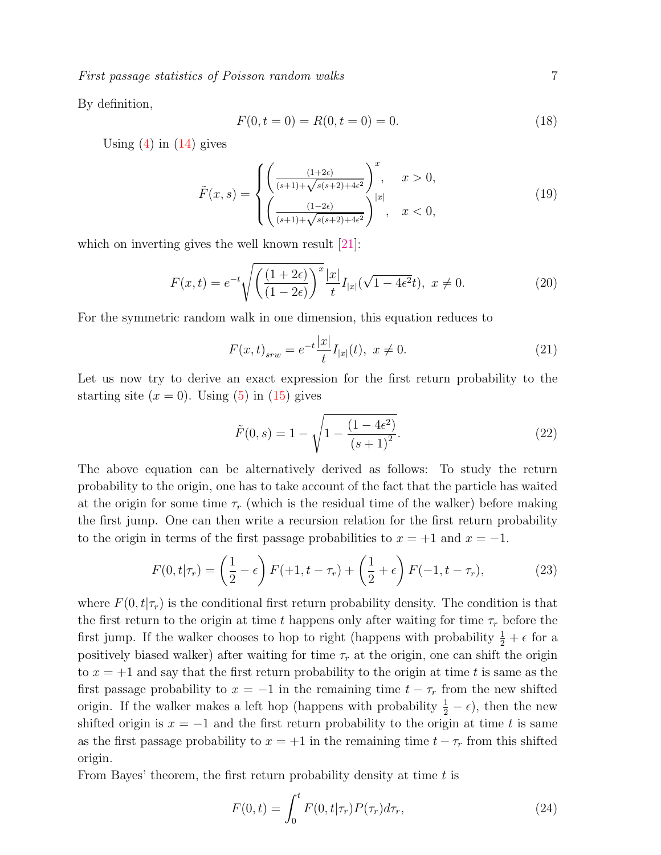First passage statistics of Poisson random walks 7

By definition,

$$
F(0, t = 0) = R(0, t = 0) = 0.
$$
\n(18)

Using  $(4)$  in  $(14)$  gives

<span id="page-6-1"></span>
$$
\tilde{F}(x,s) = \begin{cases}\n\left(\frac{(1+2\epsilon)}{(s+1)+\sqrt{s(s+2)+4\epsilon^2}}\right)^x, & x > 0, \\
\left(\frac{(1-2\epsilon)}{(s+1)+\sqrt{s(s+2)+4\epsilon^2}}\right)^{|x|}, & x < 0,\n\end{cases}
$$
\n(19)

which on inverting gives the well known result [\[21\]](#page-13-16):

<span id="page-6-0"></span>
$$
F(x,t) = e^{-t} \sqrt{\left(\frac{(1+2\epsilon)}{(1-2\epsilon)}\right)^x} \frac{|x|}{t} I_{|x|}(\sqrt{1-4\epsilon^2}t), \ x \neq 0.
$$
 (20)

For the symmetric random walk in one dimension, this equation reduces to

$$
F(x,t)_{srw} = e^{-t} \frac{|x|}{t} I_{|x|}(t), \ x \neq 0.
$$
 (21)

Let us now try to derive an exact expression for the first return probability to the starting site  $(x = 0)$ . Using  $(5)$  in  $(15)$  gives

<span id="page-6-2"></span>
$$
\tilde{F}(0,s) = 1 - \sqrt{1 - \frac{(1 - 4\epsilon^2)}{(s + 1)^2}}.
$$
\n(22)

The above equation can be alternatively derived as follows: To study the return probability to the origin, one has to take account of the fact that the particle has waited at the origin for some time  $\tau_r$  (which is the residual time of the walker) before making the first jump. One can then write a recursion relation for the first return probability to the origin in terms of the first passage probabilities to  $x = +1$  and  $x = -1$ .

$$
F(0, t | \tau_r) = \left(\frac{1}{2} - \epsilon\right) F(+1, t - \tau_r) + \left(\frac{1}{2} + \epsilon\right) F(-1, t - \tau_r),\tag{23}
$$

where  $F(0, t | \tau_r)$  is the conditional first return probability density. The condition is that the first return to the origin at time t happens only after waiting for time  $\tau_r$  before the first jump. If the walker chooses to hop to right (happens with probability  $\frac{1}{2} + \epsilon$  for a positively biased walker) after waiting for time  $\tau_r$  at the origin, one can shift the origin to  $x = +1$  and say that the first return probability to the origin at time t is same as the first passage probability to  $x = -1$  in the remaining time  $t - \tau_r$  from the new shifted origin. If the walker makes a left hop (happens with probability  $\frac{1}{2} - \epsilon$ ), then the new shifted origin is  $x = -1$  and the first return probability to the origin at time t is same as the first passage probability to  $x = +1$  in the remaining time  $t - \tau_r$  from this shifted origin.

From Bayes' theorem, the first return probability density at time  $t$  is

<span id="page-6-3"></span>
$$
F(0,t) = \int_0^t F(0,t|\tau_r)P(\tau_r)d\tau_r,
$$
\n(24)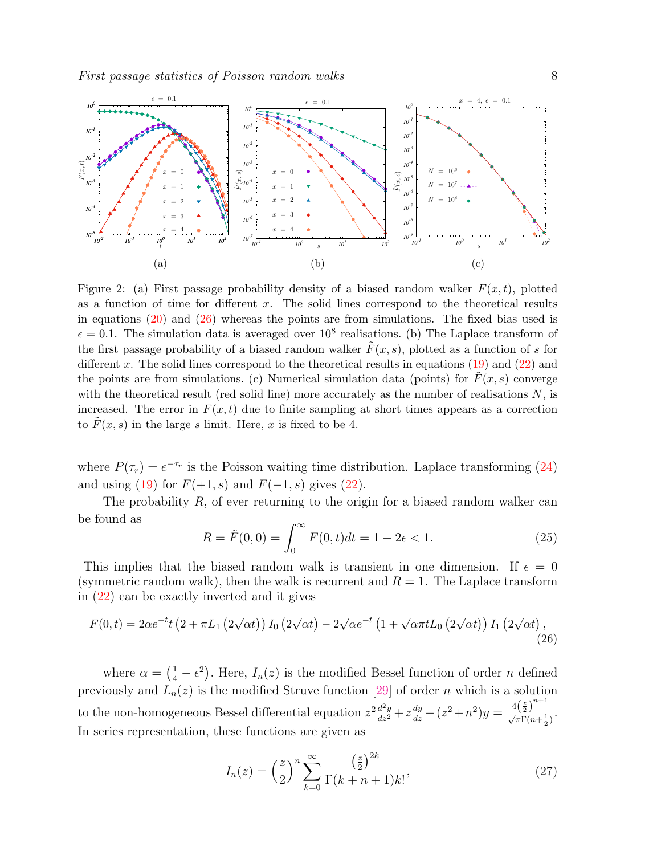<span id="page-7-1"></span>

Figure 2: (a) First passage probability density of a biased random walker  $F(x, t)$ , plotted as a function of time for different  $x$ . The solid lines correspond to the theoretical results in equations [\(20\)](#page-6-0) and [\(26\)](#page-7-0) whereas the points are from simulations. The fixed bias used is  $\epsilon = 0.1$ . The simulation data is averaged over  $10^8$  realisations. (b) The Laplace transform of the first passage probability of a biased random walker  $\tilde{F}(x, s)$ , plotted as a function of s for different x. The solid lines correspond to the theoretical results in equations  $(19)$  and  $(22)$  and the points are from simulations. (c) Numerical simulation data (points) for  $F(x, s)$  converge with the theoretical result (red solid line) more accurately as the number of realisations  $N$ , is increased. The error in  $F(x, t)$  due to finite sampling at short times appears as a correction to  $F(x, s)$  in the large s limit. Here, x is fixed to be 4.

where  $P(\tau_r) = e^{-\tau_r}$  is the Poisson waiting time distribution. Laplace transforming [\(24\)](#page-6-3) and using [\(19\)](#page-6-1) for  $F(+1, s)$  and  $F(-1, s)$  gives [\(22\)](#page-6-2).

The probability  $R$ , of ever returning to the origin for a biased random walker can be found as

$$
R = \tilde{F}(0,0) = \int_0^\infty F(0,t)dt = 1 - 2\epsilon < 1.
$$
 (25)

This implies that the biased random walk is transient in one dimension. If  $\epsilon = 0$ (symmetric random walk), then the walk is recurrent and  $R = 1$ . The Laplace transform in [\(22\)](#page-6-2) can be exactly inverted and it gives

<span id="page-7-0"></span>
$$
F(0,t) = 2\alpha e^{-t} t \left(2 + \pi L_1 \left(2\sqrt{\alpha t}\right)\right) I_0 \left(2\sqrt{\alpha t}\right) - 2\sqrt{\alpha} e^{-t} \left(1 + \sqrt{\alpha \pi t} L_0 \left(2\sqrt{\alpha t}\right)\right) I_1 \left(2\sqrt{\alpha t}\right),\tag{26}
$$

where  $\alpha = \left(\frac{1}{4} - \epsilon^2\right)$ . Here,  $I_n(z)$  is the modified Bessel function of order n defined previously and  $L_n(z)$  is the modified Struve function [\[29\]](#page-14-2) of order n which is a solution to the non-homogeneous Bessel differential equation  $z^2 \frac{d^2 y}{dz^2} + z \frac{dy}{dz} - (z^2 + n^2) y = \frac{4(\frac{z}{2})^{n+1}}{\sqrt{\pi} \Gamma(n + \frac{1}{2})}$  $\frac{(\sqrt[n]{\pi})^2}{\sqrt{\pi}\Gamma(n+\frac{1}{2})}$ . In series representation, these functions are given as

$$
I_n(z) = \left(\frac{z}{2}\right)^n \sum_{k=0}^{\infty} \frac{\left(\frac{z}{2}\right)^{2k}}{\Gamma(k+n+1)k!},\tag{27}
$$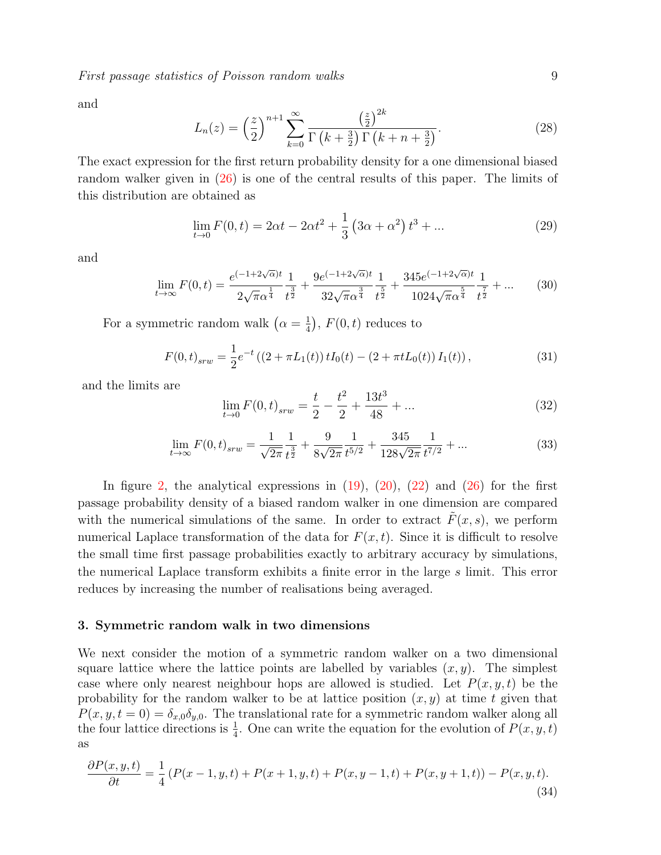First passage statistics of Poisson random walks 9

and

$$
L_n(z) = \left(\frac{z}{2}\right)^{n+1} \sum_{k=0}^{\infty} \frac{\left(\frac{z}{2}\right)^{2k}}{\Gamma\left(k + \frac{3}{2}\right)\Gamma\left(k + n + \frac{3}{2}\right)}.\tag{28}
$$

The exact expression for the first return probability density for a one dimensional biased random walker given in [\(26\)](#page-7-0) is one of the central results of this paper. The limits of this distribution are obtained as

$$
\lim_{t \to 0} F(0, t) = 2\alpha t - 2\alpha t^2 + \frac{1}{3} \left( 3\alpha + \alpha^2 \right) t^3 + \dots
$$
\n(29)

and

$$
\lim_{t \to \infty} F(0, t) = \frac{e^{(-1 + 2\sqrt{\alpha})t}}{2\sqrt{\pi \alpha^{\frac{1}{4}}}} \frac{1}{t^{\frac{3}{2}}} + \frac{9e^{(-1 + 2\sqrt{\alpha})t}}{32\sqrt{\pi \alpha^{\frac{3}{4}}}} \frac{1}{t^{\frac{5}{2}}} + \frac{345e^{(-1 + 2\sqrt{\alpha})t}}{1024\sqrt{\pi \alpha^{\frac{5}{4}}}} \frac{1}{t^{\frac{7}{2}}} + \dots \tag{30}
$$

For a symmetric random walk  $(\alpha = \frac{1}{4})$  $(\frac{1}{4})$ ,  $F(0, t)$  reduces to

$$
F(0,t)_{srw} = \frac{1}{2}e^{-t}((2+\pi L_1(t))tI_0(t) - (2+\pi tL_0(t))I_1(t)),
$$
\n(31)

and the limits are

$$
\lim_{t \to 0} F(0, t)_{sw} = \frac{t}{2} - \frac{t^2}{2} + \frac{13t^3}{48} + \dots
$$
\n(32)

$$
\lim_{t \to \infty} F(0, t)_{srw} = \frac{1}{\sqrt{2\pi}} \frac{1}{t^{\frac{3}{2}}} + \frac{9}{8\sqrt{2\pi}} \frac{1}{t^{5/2}} + \frac{345}{128\sqrt{2\pi}} \frac{1}{t^{7/2}} + \dots
$$
\n(33)

In figure [2,](#page-7-1) the analytical expressions in  $(19)$ ,  $(20)$ ,  $(22)$  and  $(26)$  for the first passage probability density of a biased random walker in one dimension are compared with the numerical simulations of the same. In order to extract  $\tilde{F}(x, s)$ , we perform numerical Laplace transformation of the data for  $F(x, t)$ . Since it is difficult to resolve the small time first passage probabilities exactly to arbitrary accuracy by simulations, the numerical Laplace transform exhibits a finite error in the large s limit. This error reduces by increasing the number of realisations being averaged.

#### <span id="page-8-0"></span>3. Symmetric random walk in two dimensions

We next consider the motion of a symmetric random walker on a two dimensional square lattice where the lattice points are labelled by variables  $(x, y)$ . The simplest case where only nearest neighbour hops are allowed is studied. Let  $P(x, y, t)$  be the probability for the random walker to be at lattice position  $(x, y)$  at time t given that  $P(x, y, t = 0) = \delta_{x,0}\delta_{y,0}$ . The translational rate for a symmetric random walker along all the four lattice directions is  $\frac{1}{4}$ . One can write the equation for the evolution of  $P(x, y, t)$ as

<span id="page-8-1"></span>
$$
\frac{\partial P(x,y,t)}{\partial t} = \frac{1}{4} \left( P(x-1,y,t) + P(x+1,y,t) + P(x,y-1,t) + P(x,y+1,t) \right) - P(x,y,t). \tag{34}
$$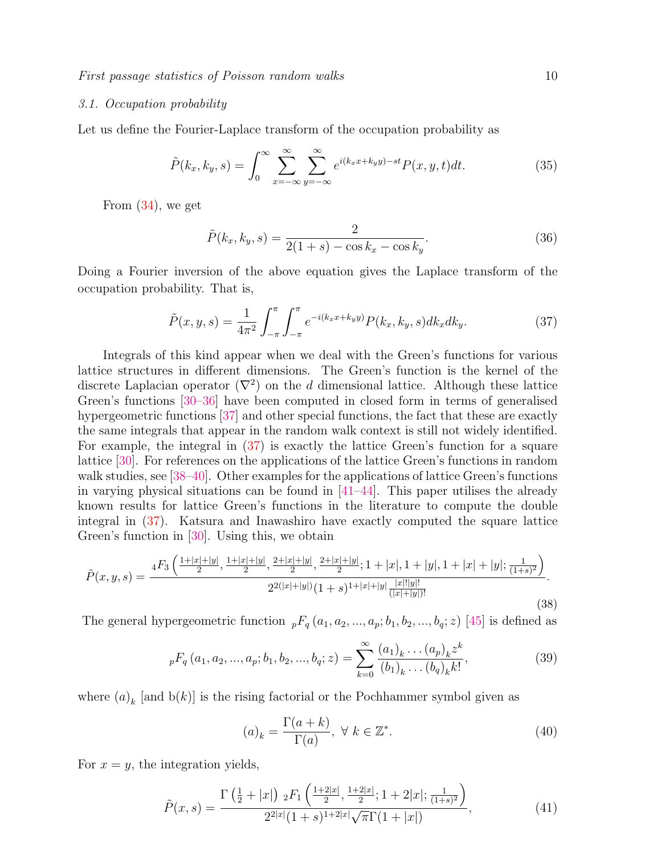# <span id="page-9-0"></span>3.1. Occupation probability

Let us define the Fourier-Laplace transform of the occupation probability as

$$
\tilde{P}(k_x, k_y, s) = \int_0^\infty \sum_{x = -\infty}^\infty \sum_{y = -\infty}^\infty e^{i(k_x x + k_y y) - st} P(x, y, t) dt.
$$
\n(35)

From [\(34\)](#page-8-1), we get

$$
\tilde{P}(k_x, k_y, s) = \frac{2}{2(1+s) - \cos k_x - \cos k_y}.
$$
\n(36)

Doing a Fourier inversion of the above equation gives the Laplace transform of the occupation probability. That is,

<span id="page-9-1"></span>
$$
\tilde{P}(x, y, s) = \frac{1}{4\pi^2} \int_{-\pi}^{\pi} \int_{-\pi}^{\pi} e^{-i(k_x x + k_y y)} P(k_x, k_y, s) dk_x dk_y.
$$
\n(37)

Integrals of this kind appear when we deal with the Green's functions for various lattice structures in different dimensions. The Green's function is the kernel of the discrete Laplacian operator  $(\nabla^2)$  on the d dimensional lattice. Although these lattice Green's functions [\[30–](#page-14-3)[36\]](#page-14-4) have been computed in closed form in terms of generalised hypergeometric functions [\[37\]](#page-14-5) and other special functions, the fact that these are exactly the same integrals that appear in the random walk context is still not widely identified. For example, the integral in [\(37\)](#page-9-1) is exactly the lattice Green's function for a square lattice [\[30\]](#page-14-3). For references on the applications of the lattice Green's functions in random walk studies, see [\[38](#page-14-6)[–40\]](#page-14-7). Other examples for the applications of lattice Green's functions in varying physical situations can be found in  $[41-44]$  $[41-44]$ . This paper utilises the already known results for lattice Green's functions in the literature to compute the double integral in [\(37\)](#page-9-1). Katsura and Inawashiro have exactly computed the square lattice Green's function in [\[30\]](#page-14-3). Using this, we obtain

<span id="page-9-2"></span>
$$
\tilde{P}(x,y,s) = \frac{{}_{4}F_{3}\left(\frac{1+|x|+|y|}{2},\frac{1+|x|+|y|}{2},\frac{2+|x|+|y|}{2},\frac{2+|x|+|y|}{2};1+|x|,1+|y|,1+|x|+|y|;\frac{1}{(1+s)^{2}}\right)}{2^{2(|x|+|y|)}(1+s)^{1+|x|+|y|}\frac{|x|!|y|!}{(|x|+|y|)!}}.
$$
\n(38)

The general hypergeometric function  ${}_{p}F_{q}(a_1, a_2, ..., a_p; b_1, b_2, ..., b_q; z)$  [\[45\]](#page-14-10) is defined as

$$
{}_{p}F_{q}(a_{1}, a_{2}, ..., a_{p}; b_{1}, b_{2}, ..., b_{q}; z) = \sum_{k=0}^{\infty} \frac{(a_{1})_{k} ... (a_{p})_{k} z^{k}}{(b_{1})_{k} ... (b_{q})_{k} k!},
$$
\n(39)

where  $(a)_k$  [and  $b(k)$ ] is the rising factorial or the Pochhammer symbol given as

$$
(a)_k = \frac{\Gamma(a+k)}{\Gamma(a)}, \ \forall \ k \in \mathbb{Z}^*.
$$

For  $x = y$ , the integration yields,

$$
\tilde{P}(x,s) = \frac{\Gamma\left(\frac{1}{2} + |x|\right) \, _2F_1\left(\frac{1+2|x|}{2}, \frac{1+2|x|}{2}; 1+2|x|; \frac{1}{(1+s)^2}\right)}{2^{2|x|}(1+s)^{1+2|x|}\sqrt{\pi}\Gamma(1+|x|)},\tag{41}
$$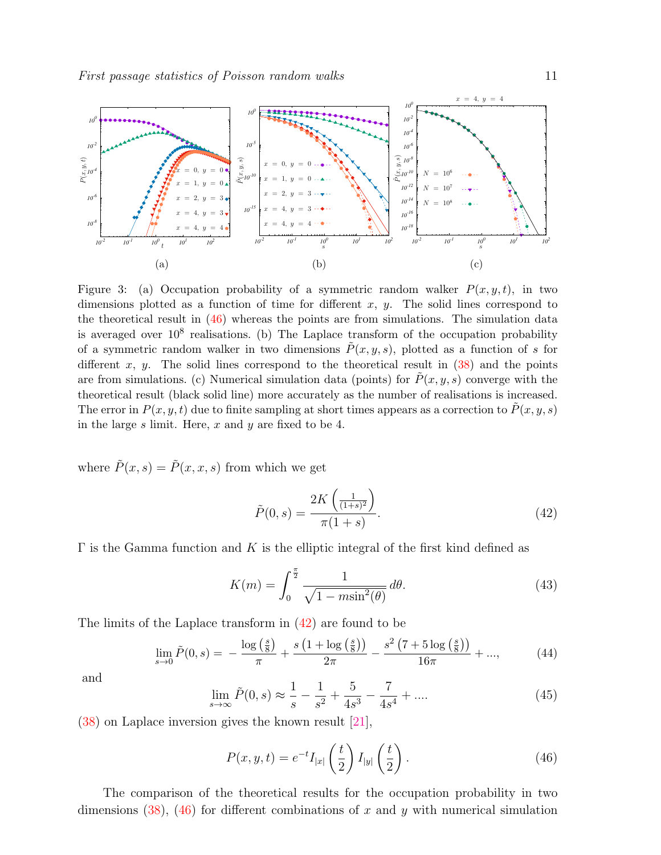<span id="page-10-2"></span>

Figure 3: (a) Occupation probability of a symmetric random walker  $P(x, y, t)$ , in two dimensions plotted as a function of time for different  $x, y$ . The solid lines correspond to the theoretical result in [\(46\)](#page-10-0) whereas the points are from simulations. The simulation data is averaged over  $10^8$  realisations. (b) The Laplace transform of the occupation probability of a symmetric random walker in two dimensions  $\tilde{P}(x, y, s)$ , plotted as a function of s for different x, y. The solid lines correspond to the theoretical result in  $(38)$  and the points are from simulations. (c) Numerical simulation data (points) for  $\tilde{P}(x, y, s)$  converge with the theoretical result (black solid line) more accurately as the number of realisations is increased. The error in  $P(x, y, t)$  due to finite sampling at short times appears as a correction to  $\tilde{P}(x, y, s)$ in the large  $s$  limit. Here,  $x$  and  $y$  are fixed to be 4.

where  $\tilde{P}(x, s) = \tilde{P}(x, x, s)$  from which we get

<span id="page-10-1"></span>
$$
\tilde{P}(0,s) = \frac{2K\left(\frac{1}{(1+s)^2}\right)}{\pi(1+s)}.
$$
\n(42)

 $\Gamma$  is the Gamma function and K is the elliptic integral of the first kind defined as

$$
K(m) = \int_0^{\frac{\pi}{2}} \frac{1}{\sqrt{1 - m \sin^2(\theta)}} d\theta.
$$
 (43)

The limits of the Laplace transform in [\(42\)](#page-10-1) are found to be

$$
\lim_{s \to 0} \tilde{P}(0, s) = -\frac{\log\left(\frac{s}{8}\right)}{\pi} + \frac{s\left(1 + \log\left(\frac{s}{8}\right)\right)}{2\pi} - \frac{s^2\left(7 + 5\log\left(\frac{s}{8}\right)\right)}{16\pi} + ..., \tag{44}
$$

and

$$
\lim_{s \to \infty} \tilde{P}(0, s) \approx \frac{1}{s} - \frac{1}{s^2} + \frac{5}{4s^3} - \frac{7}{4s^4} + \dots
$$
 (45)

[\(38\)](#page-9-2) on Laplace inversion gives the known result [\[21\]](#page-13-16),

<span id="page-10-0"></span>
$$
P(x, y, t) = e^{-t} I_{|x|} \left(\frac{t}{2}\right) I_{|y|} \left(\frac{t}{2}\right). \tag{46}
$$

The comparison of the theoretical results for the occupation probability in two dimensions  $(38)$ ,  $(46)$  for different combinations of x and y with numerical simulation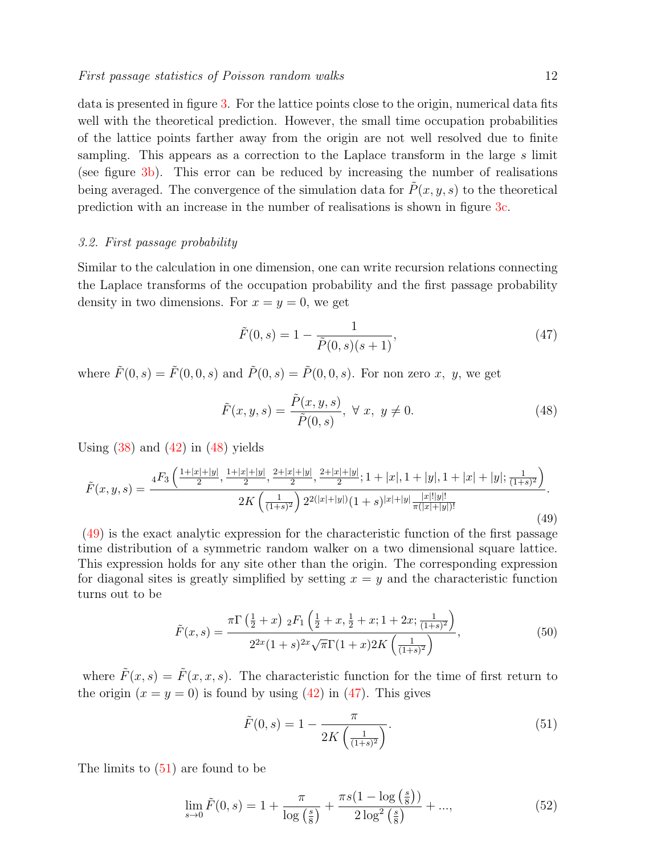data is presented in figure [3.](#page-10-2) For the lattice points close to the origin, numerical data fits well with the theoretical prediction. However, the small time occupation probabilities of the lattice points farther away from the origin are not well resolved due to finite sampling. This appears as a correction to the Laplace transform in the large s limit (see figure [3b\)](#page-10-2). This error can be reduced by increasing the number of realisations being averaged. The convergence of the simulation data for  $\tilde{P}(x, y, s)$  to the theoretical prediction with an increase in the number of realisations is shown in figure [3c.](#page-10-2)

#### <span id="page-11-0"></span>3.2. First passage probability

Similar to the calculation in one dimension, one can write recursion relations connecting the Laplace transforms of the occupation probability and the first passage probability density in two dimensions. For  $x = y = 0$ , we get

<span id="page-11-3"></span>
$$
\tilde{F}(0,s) = 1 - \frac{1}{\tilde{P}(0,s)(s+1)},
$$
\n(47)

where  $\tilde{F}(0, s) = \tilde{F}(0, 0, s)$  and  $\tilde{P}(0, s) = \tilde{P}(0, 0, s)$ . For non zero x, y, we get

<span id="page-11-1"></span>
$$
\tilde{F}(x, y, s) = \frac{\tilde{P}(x, y, s)}{\tilde{P}(0, s)}, \ \forall \ x, \ y \neq 0.
$$
\n(48)

Using  $(38)$  and  $(42)$  in  $(48)$  yields

<span id="page-11-2"></span>
$$
\tilde{F}(x,y,s) = \frac{{}_{4}F_{3}\left(\frac{1+|x|+|y|}{2},\frac{1+|x|+|y|}{2},\frac{2+|x|+|y|}{2},\frac{2+|x|+|y|}{2};1+|x|,1+|y|,1+|x|+|y|;\frac{1}{(1+s)^{2}}\right)}{2K\left(\frac{1}{(1+s)^{2}}\right)2^{2(|x|+|y|)}(1+s)^{|x|+|y|}\frac{|x|!|y|!}{\pi(|x|+|y|)!}}.
$$
\n(49)

[\(49\)](#page-11-2) is the exact analytic expression for the characteristic function of the first passage time distribution of a symmetric random walker on a two dimensional square lattice. This expression holds for any site other than the origin. The corresponding expression for diagonal sites is greatly simplified by setting  $x = y$  and the characteristic function turns out to be

$$
\tilde{F}(x,s) = \frac{\pi \Gamma\left(\frac{1}{2} + x\right) \, _2F_1\left(\frac{1}{2} + x, \frac{1}{2} + x; 1 + 2x; \frac{1}{(1+s)^2}\right)}{2^{2x}(1+s)^{2x}\sqrt{\pi}\Gamma(1+x)2K\left(\frac{1}{(1+s)^2}\right)},\tag{50}
$$

where  $\tilde{F}(x, s) = \tilde{F}(x, x, s)$ . The characteristic function for the time of first return to the origin  $(x = y = 0)$  is found by using [\(42\)](#page-10-1) in [\(47\)](#page-11-3). This gives

<span id="page-11-4"></span>
$$
\tilde{F}(0,s) = 1 - \frac{\pi}{2K\left(\frac{1}{(1+s)^2}\right)}.\tag{51}
$$

The limits to  $(51)$  are found to be

<span id="page-11-5"></span>
$$
\lim_{s \to 0} \tilde{F}(0, s) = 1 + \frac{\pi}{\log\left(\frac{s}{8}\right)} + \frac{\pi s (1 - \log\left(\frac{s}{8}\right))}{2 \log^2\left(\frac{s}{8}\right)} + ..., \tag{52}
$$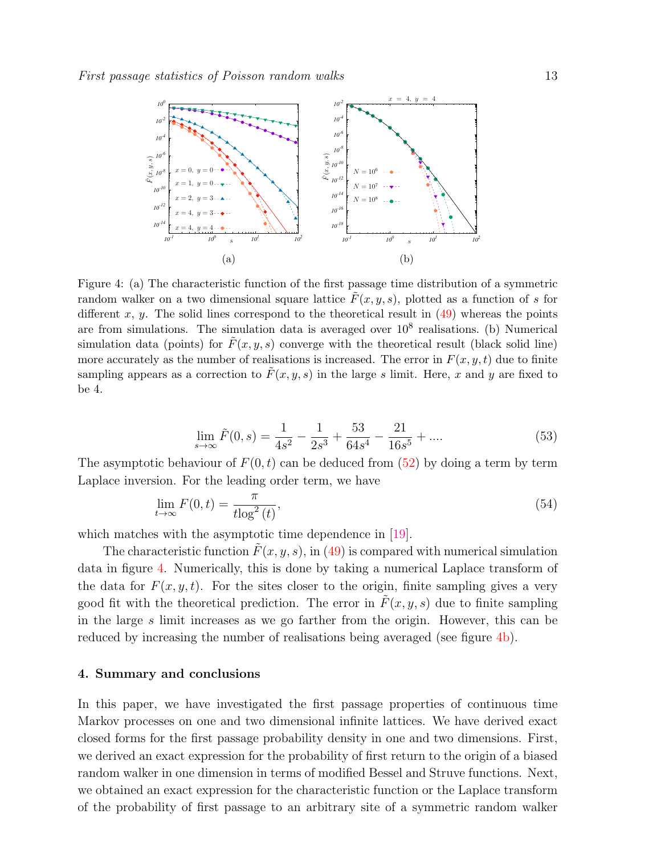<span id="page-12-1"></span>

Figure 4: (a) The characteristic function of the first passage time distribution of a symmetric random walker on a two dimensional square lattice  $\tilde{F}(x, y, s)$ , plotted as a function of s for different x, y. The solid lines correspond to the theoretical result in  $(49)$  whereas the points are from simulations. The simulation data is averaged over  $10^8$  realisations. (b) Numerical simulation data (points) for  $\overline{F}(x, y, s)$  converge with the theoretical result (black solid line) more accurately as the number of realisations is increased. The error in  $F(x, y, t)$  due to finite sampling appears as a correction to  $\tilde{F}(x, y, s)$  in the large s limit. Here, x and y are fixed to be 4.

$$
\lim_{s \to \infty} \tilde{F}(0, s) = \frac{1}{4s^2} - \frac{1}{2s^3} + \frac{53}{64s^4} - \frac{21}{16s^5} + \dots
$$
\n(53)

The asymptotic behaviour of  $F(0, t)$  can be deduced from [\(52\)](#page-11-5) by doing a term by term Laplace inversion. For the leading order term, we have

$$
\lim_{t \to \infty} F(0, t) = \frac{\pi}{t \log^2(t)},\tag{54}
$$

which matches with the asymptotic time dependence in [\[19\]](#page-13-14).

The characteristic function  $F(x, y, s)$ , in [\(49\)](#page-11-2) is compared with numerical simulation data in figure [4.](#page-12-1) Numerically, this is done by taking a numerical Laplace transform of the data for  $F(x, y, t)$ . For the sites closer to the origin, finite sampling gives a very good fit with the theoretical prediction. The error in  $\tilde{F}(x, y, s)$  due to finite sampling in the large s limit increases as we go farther from the origin. However, this can be reduced by increasing the number of realisations being averaged (see figure  $4b$ ).

#### <span id="page-12-0"></span>4. Summary and conclusions

In this paper, we have investigated the first passage properties of continuous time Markov processes on one and two dimensional infinite lattices. We have derived exact closed forms for the first passage probability density in one and two dimensions. First, we derived an exact expression for the probability of first return to the origin of a biased random walker in one dimension in terms of modified Bessel and Struve functions. Next, we obtained an exact expression for the characteristic function or the Laplace transform of the probability of first passage to an arbitrary site of a symmetric random walker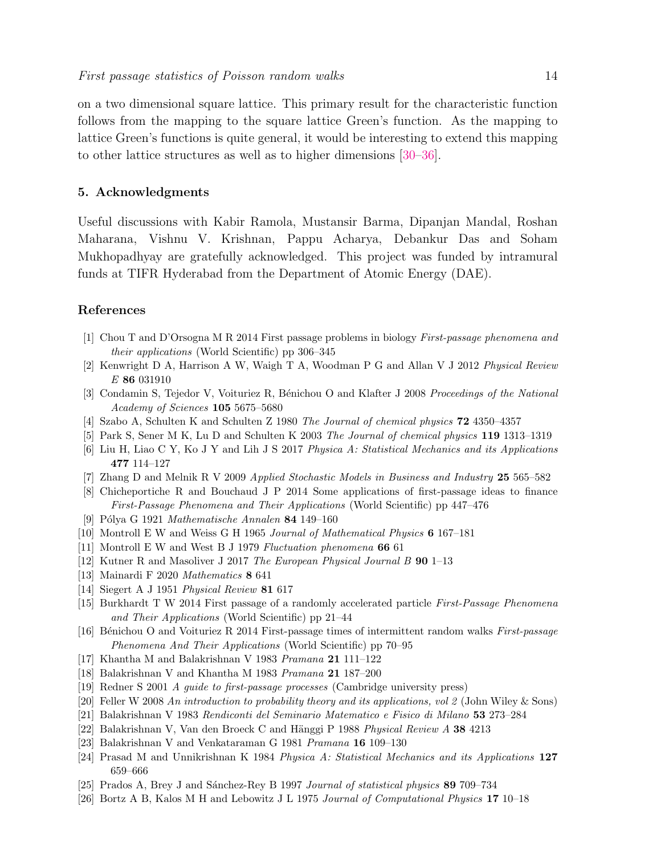on a two dimensional square lattice. This primary result for the characteristic function follows from the mapping to the square lattice Green's function. As the mapping to lattice Green's functions is quite general, it would be interesting to extend this mapping to other lattice structures as well as to higher dimensions [\[30–](#page-14-3)[36\]](#page-14-4).

# <span id="page-13-0"></span>5. Acknowledgments

Useful discussions with Kabir Ramola, Mustansir Barma, Dipanjan Mandal, Roshan Maharana, Vishnu V. Krishnan, Pappu Acharya, Debankur Das and Soham Mukhopadhyay are gratefully acknowledged. This project was funded by intramural funds at TIFR Hyderabad from the Department of Atomic Energy (DAE).

# References

- <span id="page-13-1"></span>[1] Chou T and D'Orsogna M R 2014 First passage problems in biology First-passage phenomena and their applications (World Scientific) pp 306–345
- [2] Kenwright D A, Harrison A W, Waigh T A, Woodman P G and Allan V J 2012 Physical Review E 86 031910
- <span id="page-13-2"></span>[3] Condamin S, Tejedor V, Voituriez R, Bénichou O and Klafter J 2008 Proceedings of the National Academy of Sciences 105 5675–5680
- <span id="page-13-3"></span>[4] Szabo A, Schulten K and Schulten Z 1980 The Journal of chemical physics 72 4350–4357
- <span id="page-13-4"></span>[5] Park S, Sener M K, Lu D and Schulten K 2003 The Journal of chemical physics 119 1313–1319
- <span id="page-13-5"></span>[6] Liu H, Liao C Y, Ko J Y and Lih J S 2017 Physica A: Statistical Mechanics and its Applications 477 114–127
- [7] Zhang D and Melnik R V 2009 Applied Stochastic Models in Business and Industry 25 565–582
- <span id="page-13-6"></span>[8] Chicheportiche R and Bouchaud J P 2014 Some applications of first-passage ideas to finance First-Passage Phenomena and Their Applications (World Scientific) pp 447–476
- <span id="page-13-7"></span>[9] Pólya G 1921 Mathematische Annalen 84 149–160
- <span id="page-13-8"></span>[10] Montroll E W and Weiss G H 1965 Journal of Mathematical Physics 6 167–181
- <span id="page-13-9"></span>[11] Montroll E W and West B J 1979 Fluctuation phenomena 66 61
- <span id="page-13-10"></span>[12] Kutner R and Masoliver J 2017 The European Physical Journal B 90 1–13
- <span id="page-13-11"></span>[13] Mainardi F 2020 Mathematics 8 641
- <span id="page-13-12"></span>[14] Siegert A J 1951 *Physical Review* **81** 617
- [15] Burkhardt T W 2014 First passage of a randomly accelerated particle First-Passage Phenomena and Their Applications (World Scientific) pp 21–44
- [16] Bénichou O and Voituriez R 2014 First-passage times of intermittent random walks First-passage Phenomena And Their Applications (World Scientific) pp 70–95
- [17] Khantha M and Balakrishnan V 1983 Pramana 21 111–122
- <span id="page-13-13"></span>[18] Balakrishnan V and Khantha M 1983 Pramana 21 187–200
- <span id="page-13-14"></span>[19] Redner S 2001 A guide to first-passage processes (Cambridge university press)
- <span id="page-13-15"></span>[20] Feller W 2008 An introduction to probability theory and its applications, vol 2 (John Wiley & Sons)
- <span id="page-13-16"></span>[21] Balakrishnan V 1983 Rendiconti del Seminario Matematico e Fisico di Milano 53 273–284
- [22] Balakrishnan V, Van den Broeck C and Hänggi P 1988 Physical Review  $\Lambda$  38 4213
- [23] Balakrishnan V and Venkataraman G 1981 Pramana 16 109–130
- <span id="page-13-17"></span>[24] Prasad M and Unnikrishnan K 1984 Physica A: Statistical Mechanics and its Applications 127 659–666
- <span id="page-13-18"></span>[25] Prados A, Brey J and Sánchez-Rey B 1997 Journal of statistical physics 89 709–734
- [26] Bortz A B, Kalos M H and Lebowitz J L 1975 Journal of Computational Physics 17 10–18